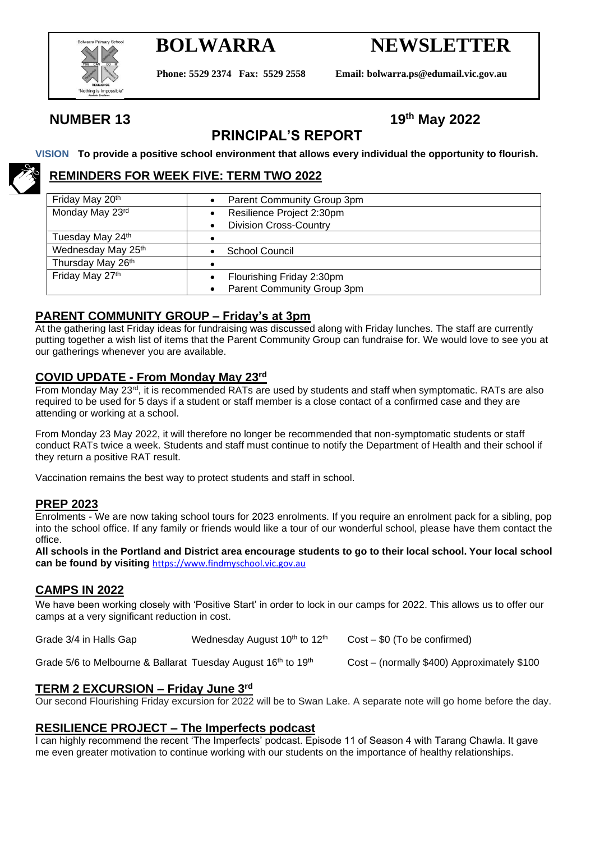

# **BOLWARRA NEWSLETTER**

**Phone: 5529 2374 Fax: 5529 2558 Email: bolwarra.ps@edumail.vic.gov.au**

### **NUMBER 13**

## **th May 2022**

### **PRINCIPAL'S REPORT**

#### **VISION To provide a positive school environment that allows every individual the opportunity to flourish.**

#### **REMINDERS FOR WEEK FIVE: TERM TWO 2022**

| Friday May 20th    | Parent Community Group 3pm                 |  |  |  |
|--------------------|--------------------------------------------|--|--|--|
| Monday May 23rd    | Resilience Project 2:30pm                  |  |  |  |
|                    | <b>Division Cross-Country</b><br>$\bullet$ |  |  |  |
| Tuesday May 24th   |                                            |  |  |  |
| Wednesday May 25th | School Council                             |  |  |  |
| Thursday May 26th  |                                            |  |  |  |
| Friday May 27th    | Flourishing Friday 2:30pm                  |  |  |  |
|                    | Parent Community Group 3pm                 |  |  |  |

#### **PARENT COMMUNITY GROUP – Friday's at 3pm**

At the gathering last Friday ideas for fundraising was discussed along with Friday lunches. The staff are currently putting together a wish list of items that the Parent Community Group can fundraise for. We would love to see you at our gatherings whenever you are available.

#### **COVID UPDATE - From Monday May 23rd**

From Monday May 23rd, it is recommended RATs are used by students and staff when symptomatic. RATs are also required to be used for 5 days if a student or staff member is a close contact of a confirmed case and they are attending or working at a school.

From Monday 23 May 2022, it will therefore no longer be recommended that non-symptomatic students or staff conduct RATs twice a week. Students and staff must continue to notify the Department of Health and their school if they return a positive RAT result.

Vaccination remains the best way to protect students and staff in school.

#### **PREP 2023**

Enrolments - We are now taking school tours for 2023 enrolments. If you require an enrolment pack for a sibling, pop into the school office. If any family or friends would like a tour of our wonderful school, please have them contact the office.

**All schools in the Portland and District area encourage students to go to their local school. Your local school can be found by visiting** [https://www.findmyschool.vic.gov.au](https://www.findmyschool.vic.gov.au/)

#### **CAMPS IN 2022**

We have been working closely with 'Positive Start' in order to lock in our camps for 2022. This allows us to offer our camps at a very significant reduction in cost.

Grade 3/4 in Halls Gap Wednesday August  $10<sup>th</sup>$  to  $12<sup>th</sup>$  Cost – \$0 (To be confirmed)

Grade 5/6 to Melbourne & Ballarat Tuesday August  $16<sup>th</sup>$  to  $19<sup>th</sup>$  Cost – (normally \$400) Approximately \$100

#### **TERM 2 EXCURSION – Friday June 3rd**

Our second Flourishing Friday excursion for 2022 will be to Swan Lake. A separate note will go home before the day.

#### **RESILIENCE PROJECT – The Imperfects podcast**

I can highly recommend the recent 'The Imperfects' podcast. Episode 11 of Season 4 with Tarang Chawla. It gave me even greater motivation to continue working with our students on the importance of healthy relationships.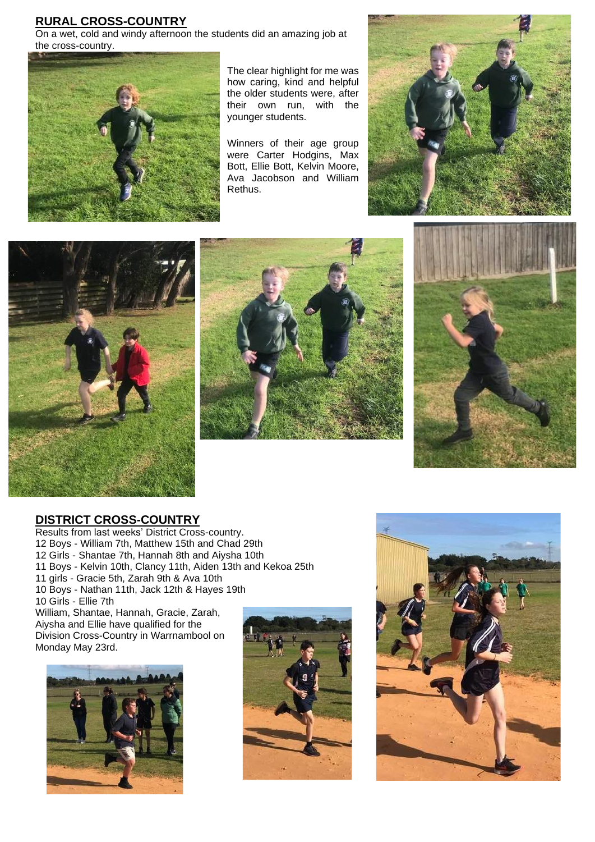#### **RURAL CROSS-COUNTRY**

On a wet, cold and windy afternoon the students did an amazing job at the cross-country.



The clear highlight for me was how caring, kind and helpful the older students were, after their own run, with the younger students.

Winners of their age group were Carter Hodgins, Max Bott, Ellie Bott, Kelvin Moore, Ava Jacobson and William Rethus.









#### **DISTRICT CROSS-COUNTRY**

Results from last weeks' District Cross-country. 12 Boys - William 7th, Matthew 15th and Chad 29th 12 Girls - Shantae 7th, Hannah 8th and Aiysha 10th 11 Boys - Kelvin 10th, Clancy 11th, Aiden 13th and Kekoa 25th 11 girls - Gracie 5th, Zarah 9th & Ava 10th 10 Boys - Nathan 11th, Jack 12th & Hayes 19th 10 Girls - Ellie 7th William, Shantae, Hannah, Gracie, Zarah, Aiysha and Ellie have qualified for the

Division Cross-Country in Warrnambool on Monday May 23rd.





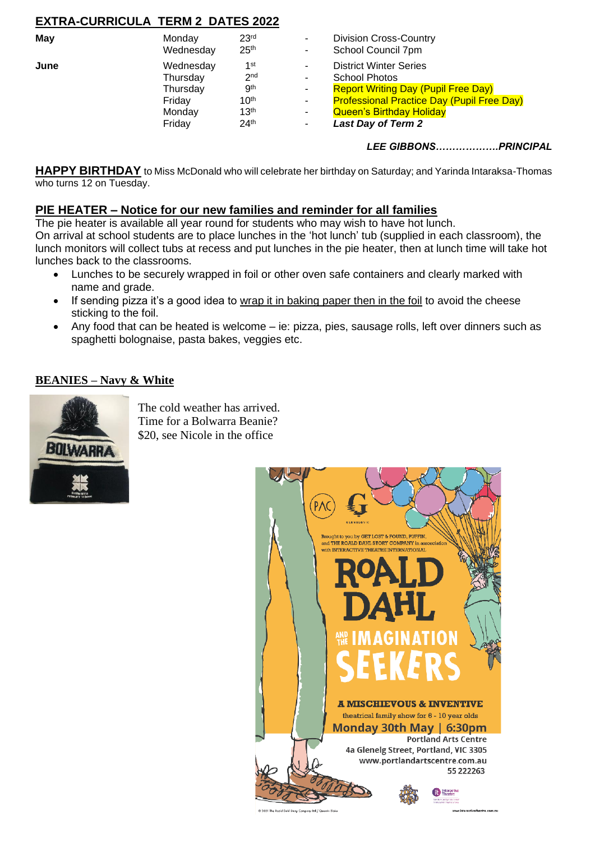### **EXTRA-CURRICULA TERM 2 DATES 2022**

| May  | Monday    | 23 <sup>rd</sup> | ۰.     | <b>Division Cross-Country</b>                     |
|------|-----------|------------------|--------|---------------------------------------------------|
|      | Wednesday | 25 <sup>th</sup> | $\sim$ | School Council 7pm                                |
| June | Wednesday | 1st              | ۰.     | <b>District Winter Series</b>                     |
|      | Thursday  | 2 <sub>nd</sub>  | ۰.     | <b>School Photos</b>                              |
|      | Thursday  | .gth             | $\sim$ | <b>Report Writing Day (Pupil Free Day)</b>        |
|      | Fridav    | 10 <sup>th</sup> | ۰.     | <b>Professional Practice Day (Pupil Free Day)</b> |
|      | Monday    | 13 <sup>th</sup> | ۰.     | <b>Queen's Birthday Holiday</b>                   |
|      | Friday    | 24 <sup>th</sup> | ۰.     | <b>Last Day of Term 2</b>                         |

*LEE GIBBONS……………….PRINCIPAL*

**HAPPY BIRTHDAY** to Miss McDonald who will celebrate her birthday on Saturday; and Yarinda Intaraksa-Thomas who turns 12 on Tuesday.

#### **PIE HEATER – Notice for our new families and reminder for all families**

The pie heater is available all year round for students who may wish to have hot lunch. On arrival at school students are to place lunches in the 'hot lunch' tub (supplied in each classroom), the lunch monitors will collect tubs at recess and put lunches in the pie heater, then at lunch time will take hot lunches back to the classrooms.

- Lunches to be securely wrapped in foil or other oven safe containers and clearly marked with name and grade.
- If sending pizza it's a good idea to wrap it in baking paper then in the foil to avoid the cheese sticking to the foil.
- Any food that can be heated is welcome ie: pizza, pies, sausage rolls, left over dinners such as spaghetti bolognaise, pasta bakes, veggies etc.

#### **BEANIES – Navy & White**



The cold weather has arrived. Time for a Bolwarra Beanie? \$20, see Nicole in the office

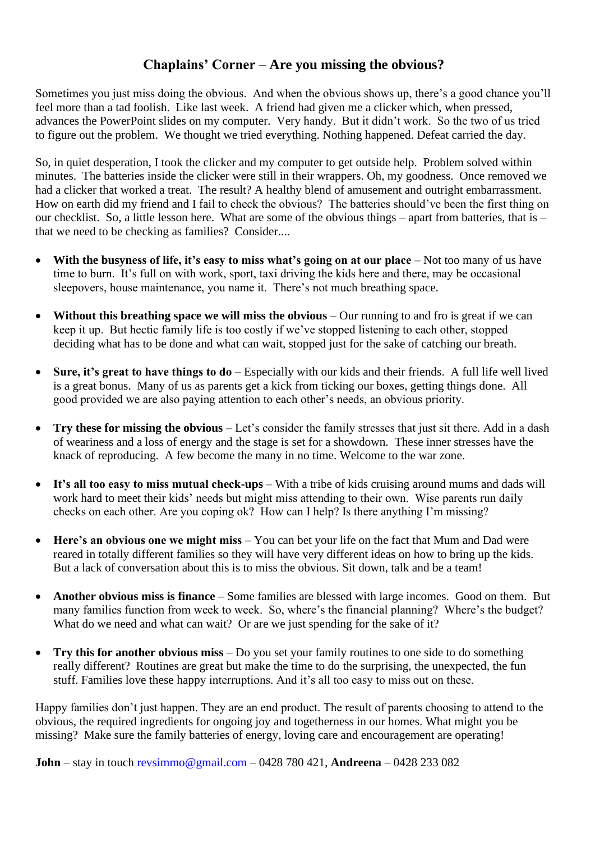### **Chaplains' Corner – Are you missing the obvious?**

Sometimes you just miss doing the obvious. And when the obvious shows up, there's a good chance you'll feel more than a tad foolish. Like last week. A friend had given me a clicker which, when pressed, advances the PowerPoint slides on my computer. Very handy. But it didn't work. So the two of us tried to figure out the problem. We thought we tried everything. Nothing happened. Defeat carried the day.

So, in quiet desperation, I took the clicker and my computer to get outside help. Problem solved within minutes. The batteries inside the clicker were still in their wrappers. Oh, my goodness. Once removed we had a clicker that worked a treat. The result? A healthy blend of amusement and outright embarrassment. How on earth did my friend and I fail to check the obvious? The batteries should've been the first thing on our checklist. So, a little lesson here. What are some of the obvious things – apart from batteries, that is – that we need to be checking as families? Consider....

- With the busyness of life, it's easy to miss what's going on at our place Not too many of us have time to burn. It's full on with work, sport, taxi driving the kids here and there, may be occasional sleepovers, house maintenance, you name it. There's not much breathing space.
- **Without this breathing space we will miss the obvious** Our running to and fro is great if we can keep it up. But hectic family life is too costly if we've stopped listening to each other, stopped deciding what has to be done and what can wait, stopped just for the sake of catching our breath.
- **Sure, it's great to have things to do**  Especially with our kids and their friends. A full life well lived is a great bonus. Many of us as parents get a kick from ticking our boxes, getting things done. All good provided we are also paying attention to each other's needs, an obvious priority.
- **Try these for missing the obvious** Let's consider the family stresses that just sit there. Add in a dash of weariness and a loss of energy and the stage is set for a showdown. These inner stresses have the knack of reproducing. A few become the many in no time. Welcome to the war zone.
- It's all too easy to miss mutual check-ups With a tribe of kids cruising around mums and dads will work hard to meet their kids' needs but might miss attending to their own. Wise parents run daily checks on each other. Are you coping ok? How can I help? Is there anything I'm missing?
- Here's an obvious one we might miss You can bet your life on the fact that Mum and Dad were reared in totally different families so they will have very different ideas on how to bring up the kids. But a lack of conversation about this is to miss the obvious. Sit down, talk and be a team!
- **Another obvious miss is finance**  Some families are blessed with large incomes. Good on them. But many families function from week to week. So, where's the financial planning? Where's the budget? What do we need and what can wait? Or are we just spending for the sake of it?
- **Try this for another obvious miss**  Do you set your family routines to one side to do something really different? Routines are great but make the time to do the surprising, the unexpected, the fun stuff. Families love these happy interruptions. And it's all too easy to miss out on these.

Happy families don't just happen. They are an end product. The result of parents choosing to attend to the obvious, the required ingredients for ongoing joy and togetherness in our homes. What might you be missing? Make sure the family batteries of energy, loving care and encouragement are operating!

**John** – stay in touch revsimmo@gmail.com – 0428 780 421, **Andreena** – 0428 233 082